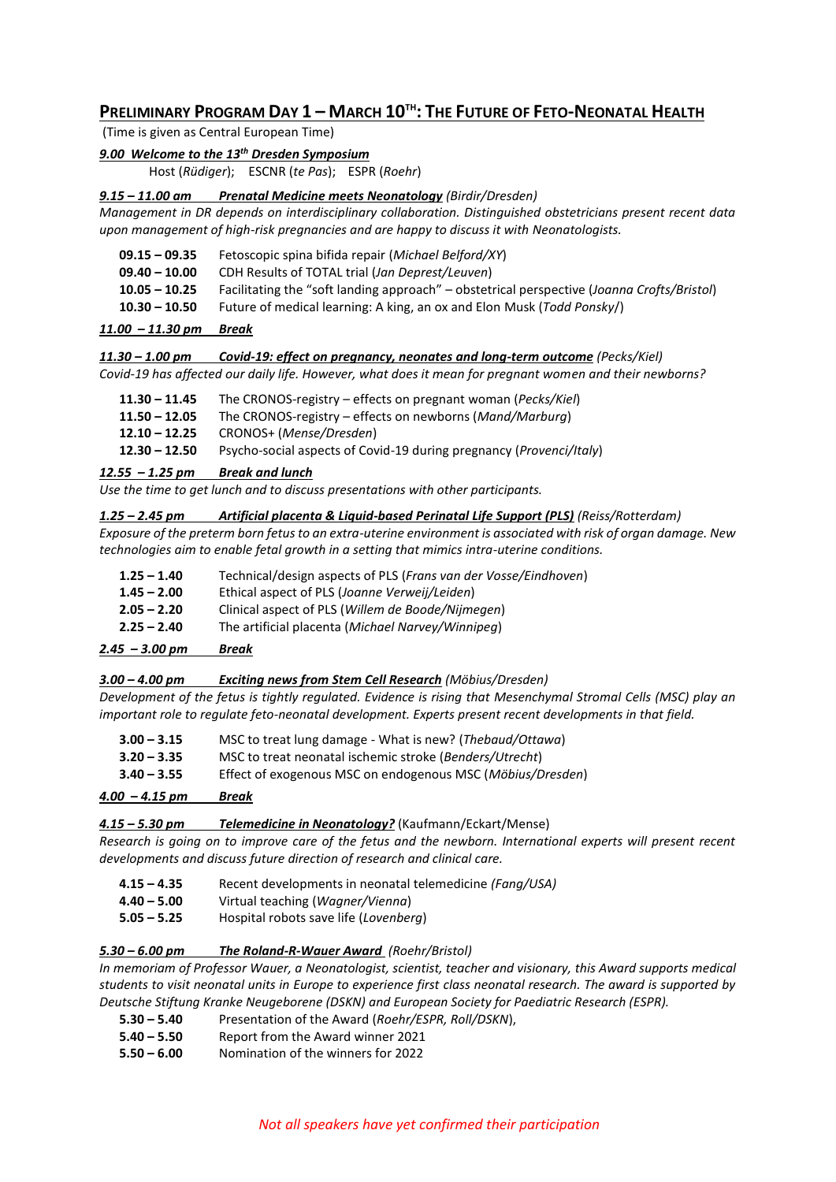# PRELIMINARY PROGRAM DAY 1 - MARCH 10<sup>TH</sup>: THE FUTURE OF FETO-NEONATAL HEALTH

(Time is given as Central European Time)

# *9.00 Welcome to the 13th Dresden Symposium*

Host (*Rüdiger*); ESCNR (*te Pas*); ESPR (*Roehr*)

#### *9.15 – 11.00 am Prenatal Medicine meets Neonatology (Birdir/Dresden)*

*Management in DR depends on interdisciplinary collaboration. Distinguished obstetricians present recent data upon management of high-risk pregnancies and are happy to discuss it with Neonatologists.* 

| 09.15 – 09.35 | Fetoscopic spina bifida repair (Michael Belford/XY) |
|---------------|-----------------------------------------------------|
|---------------|-----------------------------------------------------|

- **09.40 – 10.00** CDH Results of TOTAL trial (*Jan Deprest/Leuven*)
- **10.05 – 10.25** Facilitating the "soft landing approach" obstetrical perspective (*Joanna Crofts/Bristol*)
- **10.30 – 10.50** Future of medical learning: A king, an ox and Elon Musk (*Todd Ponsky*/)

#### *11.00 – 11.30 pm Break*

*11.30 – 1.00 pm Covid-19: effect on pregnancy, neonates and long-term outcome (Pecks/Kiel) Covid-19 has affected our daily life. However, what does it mean for pregnant women and their newborns?*

| $11.30 - 11.45$ | The CRONOS-registry – effects on pregnant woman (Pecks/Kiel)                 |  |
|-----------------|------------------------------------------------------------------------------|--|
| $11.50 - 12.05$ | The CRONOS-registry – effects on newborns ( <i>Mand/Marburg</i> )            |  |
| $12.10 - 12.25$ | CRONOS+ (Mense/Dresden)                                                      |  |
| $12.30 - 12.50$ | Psycho-social aspects of Covid-19 during pregnancy ( <i>Provenci/Italy</i> ) |  |

# *12.55 – 1.25 pm Break and lunch*

*Use the time to get lunch and to discuss presentations with other participants.* 

#### *1.25 – 2.45 pm Artificial placenta & Liquid-based Perinatal Life Support (PLS) (Reiss/Rotterdam)*

*Exposure of the preterm born fetus to an extra-uterine environment is associated with risk of organ damage. New technologies aim to enable fetal growth in a setting that mimics intra-uterine conditions.*

- **1.25 – 1.40** Technical/design aspects of PLS (*Frans van der Vosse/Eindhoven*)
- **1.45 – 2.00** Ethical aspect of PLS (*Joanne Verweij/Leiden*)
- **2.05 – 2.20** Clinical aspect of PLS (*Willem de Boode/Nijmegen*)
- **2.25 – 2.40** The artificial placenta (*Michael Narvey/Winnipeg*)

## *2.45 – 3.00 pm Break*

## *3.00 – 4.00 pm Exciting news from Stem Cell Research (Möbius/Dresden)*

*Development of the fetus is tightly regulated. Evidence is rising that Mesenchymal Stromal Cells (MSC) play an important role to regulate feto-neonatal development. Experts present recent developments in that field.*

| $\mathcal{L}$ $\mathcal{L}$ $\mathcal{L}$ $\mathcal{L}$ $\mathcal{L}$ $\mathcal{L}$ $\mathcal{L}$ $\mathcal{L}$ $\mathcal{L}$ $\mathcal{L}$ $\mathcal{L}$ $\mathcal{L}$ $\mathcal{L}$ $\mathcal{L}$ $\mathcal{L}$ $\mathcal{L}$ $\mathcal{L}$ $\mathcal{L}$ $\mathcal{L}$ $\mathcal{L}$ $\mathcal{L}$ $\mathcal{L}$ $\mathcal{L}$ $\mathcal{L}$ $\mathcal{$ | <b>D</b> <i>I</i> .                                        |
|-------------------------------------------------------------------------------------------------------------------------------------------------------------------------------------------------------------------------------------------------------------------------------------------------------------------------------------------------------------|------------------------------------------------------------|
| $3.40 - 3.55$                                                                                                                                                                                                                                                                                                                                               | Effect of exogenous MSC on endogenous MSC (Möbius/Dresden) |
| $3.20 - 3.35$                                                                                                                                                                                                                                                                                                                                               | MSC to treat neonatal ischemic stroke (Benders/Utrecht)    |
| $3.00 - 3.15$                                                                                                                                                                                                                                                                                                                                               | MSC to treat lung damage - What is new? (Thebaud/Ottawa)   |

#### *4.00 – 4.15 pm Break*

*4.15 – 5.30 pm Telemedicine in Neonatology?* (Kaufmann/Eckart/Mense)

*Research is going on to improve care of the fetus and the newborn. International experts will present recent developments and discuss future direction of research and clinical care.* 

- **4.15 – 4.35** Recent developments in neonatal telemedicine *(Fang/USA)*
- **4.40 – 5.00** Virtual teaching (*Wagner/Vienna*)
- **5.05 – 5.25** Hospital robots save life (*Lovenberg*)

## *5.30 – 6.00 pm The Roland-R-Wauer Award (Roehr/Bristol)*

*In memoriam of Professor Wauer, a Neonatologist, scientist, teacher and visionary, this Award supports medical students to visit neonatal units in Europe to experience first class neonatal research. The award is supported by Deutsche Stiftung Kranke Neugeborene (DSKN) and European Society for Paediatric Research (ESPR).* 

- **5.30 – 5.40** Presentation of the Award (*Roehr/ESPR, Roll/DSKN*),
- **5.40 – 5.50** Report from the Award winner 2021
- **5.50 – 6.00** Nomination of the winners for 2022

## *Not all speakers have yet confirmed their participation*